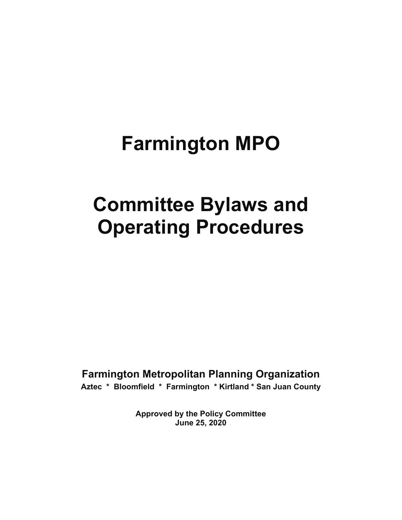# **Farmington MPO**

# **Committee Bylaws and Operating Procedures**

**Farmington Metropolitan Planning Organization Aztec \* Bloomfield \* Farmington \* Kirtland \* San Juan County** 

> **Approved by the Policy Committee June 25, 2020**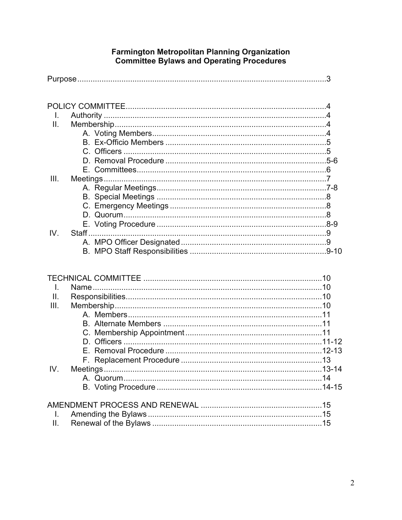# Farmington Metropolitan Planning Organization<br>Committee Bylaws and Operating Procedures

| $\mathbf{L}$    |  |  |  |
|-----------------|--|--|--|
| II.             |  |  |  |
|                 |  |  |  |
|                 |  |  |  |
|                 |  |  |  |
|                 |  |  |  |
|                 |  |  |  |
| III.            |  |  |  |
|                 |  |  |  |
|                 |  |  |  |
|                 |  |  |  |
|                 |  |  |  |
|                 |  |  |  |
| IV.             |  |  |  |
|                 |  |  |  |
|                 |  |  |  |
|                 |  |  |  |
|                 |  |  |  |
|                 |  |  |  |
| $\mathsf{L}$    |  |  |  |
| $\mathbf{II}$ . |  |  |  |
| III.            |  |  |  |
|                 |  |  |  |
|                 |  |  |  |
|                 |  |  |  |
|                 |  |  |  |
|                 |  |  |  |
|                 |  |  |  |
| IV.             |  |  |  |
|                 |  |  |  |
|                 |  |  |  |
|                 |  |  |  |
| I.              |  |  |  |
| ΙΙ.             |  |  |  |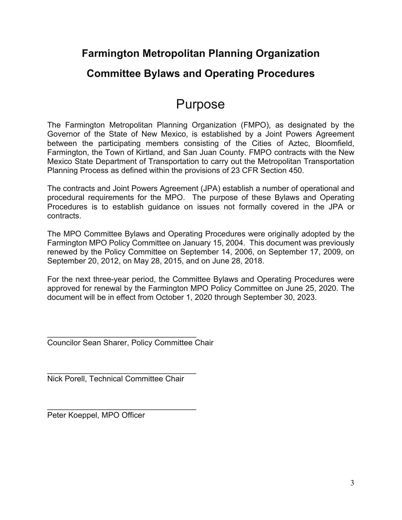### **Farmington Metropolitan Planning Organization**

### **Committee Bylaws and Operating Procedures**

## Purpose

The Farmington Metropolitan Planning Organization (FMPO), as designated by the Governor of the State of New Mexico, is established by a Joint Powers Agreement between the participating members consisting of the Cities of Aztec, Bloomfield, Farmington, the Town of Kirtland, and San Juan County. FMPO contracts with the New Mexico State Department of Transportation to carry out the Metropolitan Transportation Planning Process as defined within the provisions of 23 CFR Section 450.

The contracts and Joint Powers Agreement (JPA) establish a number of operational and procedural requirements for the MPO. The purpose of these Bylaws and Operating Procedures is to establish guidance on issues not formally covered in the JPA or contracts.

The MPO Committee Bylaws and Operating Procedures were originally adopted by the Farmington MPO Policy Committee on January 15, 2004. This document was previously renewed by the Policy Committee on September 14, 2006, on September 17, 2009, on September 20, 2012, on May 28, 2015, and on June 28, 2018.

For the next three-year period, the Committee Bylaws and Operating Procedures were approved for renewal by the Farmington MPO Policy Committee on June 25, 2020. The document will be in effect from October 1, 2020 through September 30, 2023.

 $\mathcal{L}_\text{max}$  , and the set of the set of the set of the set of the set of the set of the set of the set of the set of the set of the set of the set of the set of the set of the set of the set of the set of the set of the Councilor Sean Sharer, Policy Committee Chair

 $\mathcal{L}_\text{max}$  , and the set of the set of the set of the set of the set of the set of the set of the set of the set of the set of the set of the set of the set of the set of the set of the set of the set of the set of the Nick Porell, Technical Committee Chair

\_\_\_\_\_\_\_\_\_\_\_\_\_\_\_\_\_\_\_\_\_\_\_\_\_\_\_\_\_\_\_\_\_\_ Peter Koeppel, MPO Officer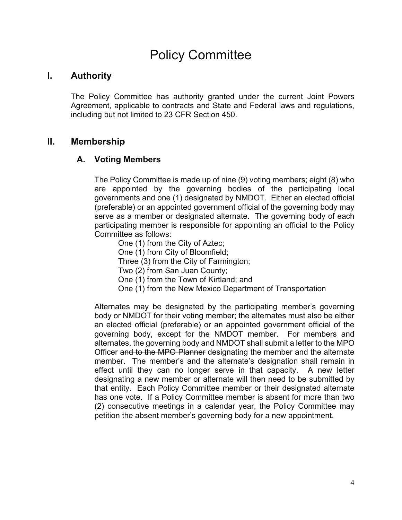## Policy Committee

#### **I. Authority**

The Policy Committee has authority granted under the current Joint Powers Agreement, applicable to contracts and State and Federal laws and regulations, including but not limited to 23 CFR Section 450.

#### **II. Membership**

#### **A. Voting Members**

The Policy Committee is made up of nine (9) voting members; eight (8) who are appointed by the governing bodies of the participating local governments and one (1) designated by NMDOT. Either an elected official (preferable) or an appointed government official of the governing body may serve as a member or designated alternate. The governing body of each participating member is responsible for appointing an official to the Policy Committee as follows:

- One (1) from the City of Aztec;
- One (1) from City of Bloomfield;

Three (3) from the City of Farmington;

- Two (2) from San Juan County;
- One (1) from the Town of Kirtland; and
- One (1) from the New Mexico Department of Transportation

Alternates may be designated by the participating member's governing body or NMDOT for their voting member; the alternates must also be either an elected official (preferable) or an appointed government official of the governing body, except for the NMDOT member. For members and alternates, the governing body and NMDOT shall submit a letter to the MPO Officer and to the MPO Planner designating the member and the alternate member. The member's and the alternate's designation shall remain in effect until they can no longer serve in that capacity. A new letter designating a new member or alternate will then need to be submitted by that entity. Each Policy Committee member or their designated alternate has one vote. If a Policy Committee member is absent for more than two (2) consecutive meetings in a calendar year, the Policy Committee may petition the absent member's governing body for a new appointment.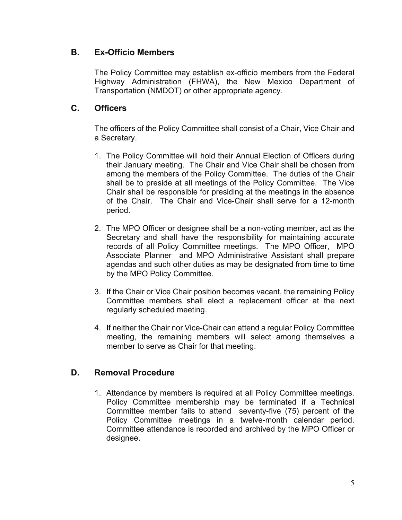#### **B. Ex-Officio Members**

The Policy Committee may establish ex-officio members from the Federal Highway Administration (FHWA), the New Mexico Department of Transportation (NMDOT) or other appropriate agency.

#### **C. Officers**

The officers of the Policy Committee shall consist of a Chair, Vice Chair and a Secretary.

- 1. The Policy Committee will hold their Annual Election of Officers during their January meeting. The Chair and Vice Chair shall be chosen from among the members of the Policy Committee. The duties of the Chair shall be to preside at all meetings of the Policy Committee. The Vice Chair shall be responsible for presiding at the meetings in the absence of the Chair. The Chair and Vice-Chair shall serve for a 12-month period.
- 2. The MPO Officer or designee shall be a non-voting member, act as the Secretary and shall have the responsibility for maintaining accurate records of all Policy Committee meetings. The MPO Officer, MPO Associate Planner and MPO Administrative Assistant shall prepare agendas and such other duties as may be designated from time to time by the MPO Policy Committee.
- 3. If the Chair or Vice Chair position becomes vacant, the remaining Policy Committee members shall elect a replacement officer at the next regularly scheduled meeting.
- 4. If neither the Chair nor Vice-Chair can attend a regular Policy Committee meeting, the remaining members will select among themselves a member to serve as Chair for that meeting.

#### **D. Removal Procedure**

1. Attendance by members is required at all Policy Committee meetings. Policy Committee membership may be terminated if a Technical Committee member fails to attend seventy-five (75) percent of the Policy Committee meetings in a twelve-month calendar period. Committee attendance is recorded and archived by the MPO Officer or designee.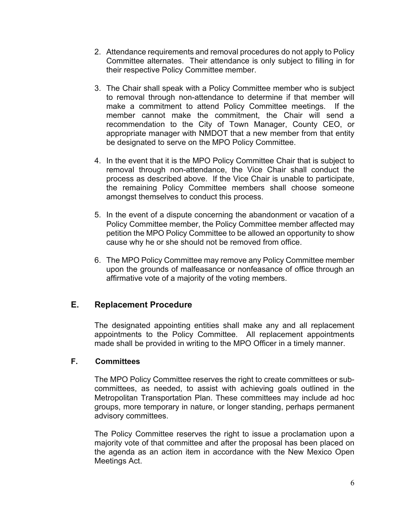- 2. Attendance requirements and removal procedures do not apply to Policy Committee alternates. Their attendance is only subject to filling in for their respective Policy Committee member.
- 3. The Chair shall speak with a Policy Committee member who is subject to removal through non-attendance to determine if that member will make a commitment to attend Policy Committee meetings. If the member cannot make the commitment, the Chair will send a recommendation to the City of Town Manager, County CEO, or appropriate manager with NMDOT that a new member from that entity be designated to serve on the MPO Policy Committee.
- 4. In the event that it is the MPO Policy Committee Chair that is subject to removal through non-attendance, the Vice Chair shall conduct the process as described above. If the Vice Chair is unable to participate, the remaining Policy Committee members shall choose someone amongst themselves to conduct this process.
- 5. In the event of a dispute concerning the abandonment or vacation of a Policy Committee member, the Policy Committee member affected may petition the MPO Policy Committee to be allowed an opportunity to show cause why he or she should not be removed from office.
- 6. The MPO Policy Committee may remove any Policy Committee member upon the grounds of malfeasance or nonfeasance of office through an affirmative vote of a majority of the voting members.

#### **E. Replacement Procedure**

The designated appointing entities shall make any and all replacement appointments to the Policy Committee. All replacement appointments made shall be provided in writing to the MPO Officer in a timely manner.

#### **F. Committees**

The MPO Policy Committee reserves the right to create committees or subcommittees, as needed, to assist with achieving goals outlined in the Metropolitan Transportation Plan. These committees may include ad hoc groups, more temporary in nature, or longer standing, perhaps permanent advisory committees.

The Policy Committee reserves the right to issue a proclamation upon a majority vote of that committee and after the proposal has been placed on the agenda as an action item in accordance with the New Mexico Open Meetings Act.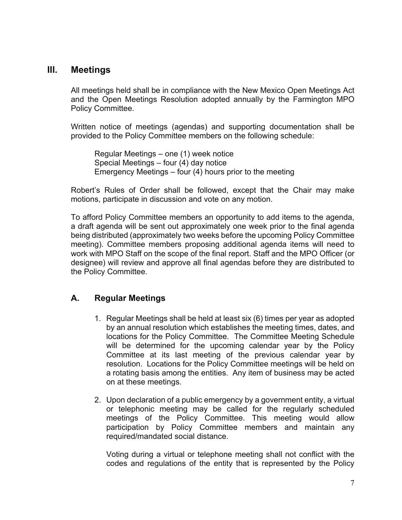#### **III. Meetings**

All meetings held shall be in compliance with the New Mexico Open Meetings Act and the Open Meetings Resolution adopted annually by the Farmington MPO Policy Committee.

Written notice of meetings (agendas) and supporting documentation shall be provided to the Policy Committee members on the following schedule:

 Regular Meetings – one (1) week notice Special Meetings – four (4) day notice Emergency Meetings – four (4) hours prior to the meeting

Robert's Rules of Order shall be followed, except that the Chair may make motions, participate in discussion and vote on any motion.

To afford Policy Committee members an opportunity to add items to the agenda, a draft agenda will be sent out approximately one week prior to the final agenda being distributed (approximately two weeks before the upcoming Policy Committee meeting). Committee members proposing additional agenda items will need to work with MPO Staff on the scope of the final report. Staff and the MPO Officer (or designee) will review and approve all final agendas before they are distributed to the Policy Committee.

#### **A. Regular Meetings**

- 1. Regular Meetings shall be held at least six (6) times per year as adopted by an annual resolution which establishes the meeting times, dates, and locations for the Policy Committee. The Committee Meeting Schedule will be determined for the upcoming calendar year by the Policy Committee at its last meeting of the previous calendar year by resolution. Locations for the Policy Committee meetings will be held on a rotating basis among the entities. Any item of business may be acted on at these meetings.
- 2. Upon declaration of a public emergency by a government entity, a virtual or telephonic meeting may be called for the regularly scheduled meetings of the Policy Committee. This meeting would allow participation by Policy Committee members and maintain any required/mandated social distance.

Voting during a virtual or telephone meeting shall not conflict with the codes and regulations of the entity that is represented by the Policy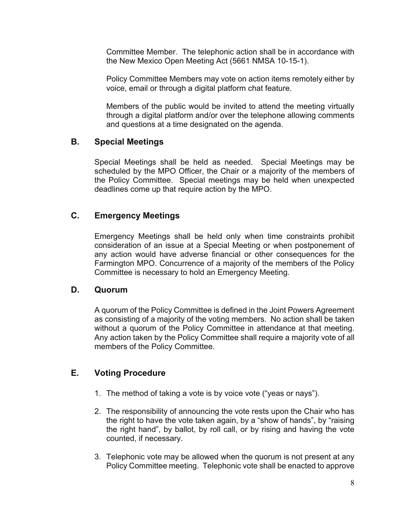Committee Member. The telephonic action shall be in accordance with the New Mexico Open Meeting Act (5661 NMSA 10-15-1).

Policy Committee Members may vote on action items remotely either by voice, email or through a digital platform chat feature.

Members of the public would be invited to attend the meeting virtually through a digital platform and/or over the telephone allowing comments and questions at a time designated on the agenda.

#### **B. Special Meetings**

Special Meetings shall be held as needed. Special Meetings may be scheduled by the MPO Officer, the Chair or a majority of the members of the Policy Committee. Special meetings may be held when unexpected deadlines come up that require action by the MPO.

#### **C. Emergency Meetings**

 Emergency Meetings shall be held only when time constraints prohibit consideration of an issue at a Special Meeting or when postponement of any action would have adverse financial or other consequences for the Farmington MPO. Concurrence of a majority of the members of the Policy Committee is necessary to hold an Emergency Meeting.

#### **D. Quorum**

A quorum of the Policy Committee is defined in the Joint Powers Agreement as consisting of a majority of the voting members. No action shall be taken without a quorum of the Policy Committee in attendance at that meeting. Any action taken by the Policy Committee shall require a majority vote of all members of the Policy Committee.

#### **E. Voting Procedure**

- 1. The method of taking a vote is by voice vote ("yeas or nays").
- 2. The responsibility of announcing the vote rests upon the Chair who has the right to have the vote taken again, by a "show of hands", by "raising the right hand", by ballot, by roll call, or by rising and having the vote counted, if necessary.
- 3. Telephonic vote may be allowed when the quorum is not present at any Policy Committee meeting. Telephonic vote shall be enacted to approve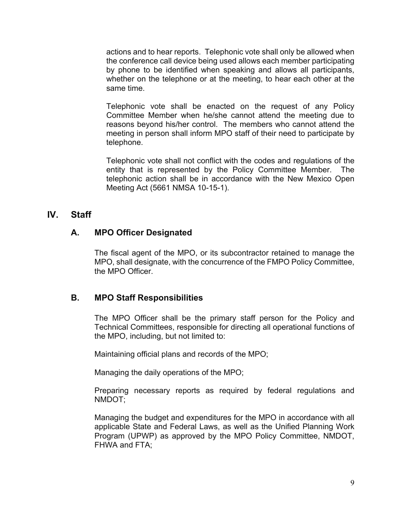actions and to hear reports. Telephonic vote shall only be allowed when the conference call device being used allows each member participating by phone to be identified when speaking and allows all participants, whether on the telephone or at the meeting, to hear each other at the same time.

Telephonic vote shall be enacted on the request of any Policy Committee Member when he/she cannot attend the meeting due to reasons beyond his/her control. The members who cannot attend the meeting in person shall inform MPO staff of their need to participate by telephone.

Telephonic vote shall not conflict with the codes and regulations of the entity that is represented by the Policy Committee Member. The telephonic action shall be in accordance with the New Mexico Open Meeting Act (5661 NMSA 10-15-1).

#### **IV. Staff**

#### **A. MPO Officer Designated**

The fiscal agent of the MPO, or its subcontractor retained to manage the MPO, shall designate, with the concurrence of the FMPO Policy Committee, the MPO Officer.

#### **B. MPO Staff Responsibilities**

The MPO Officer shall be the primary staff person for the Policy and Technical Committees, responsible for directing all operational functions of the MPO, including, but not limited to:

Maintaining official plans and records of the MPO;

Managing the daily operations of the MPO;

Preparing necessary reports as required by federal regulations and NMDOT;

Managing the budget and expenditures for the MPO in accordance with all applicable State and Federal Laws, as well as the Unified Planning Work Program (UPWP) as approved by the MPO Policy Committee, NMDOT, FHWA and FTA;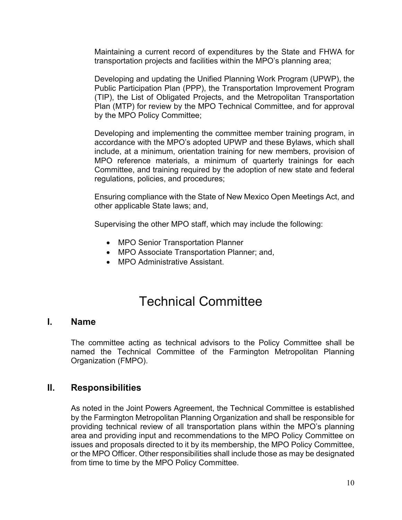Maintaining a current record of expenditures by the State and FHWA for transportation projects and facilities within the MPO's planning area;

Developing and updating the Unified Planning Work Program (UPWP), the Public Participation Plan (PPP), the Transportation Improvement Program (TIP), the List of Obligated Projects, and the Metropolitan Transportation Plan (MTP) for review by the MPO Technical Committee, and for approval by the MPO Policy Committee;

Developing and implementing the committee member training program, in accordance with the MPO's adopted UPWP and these Bylaws, which shall include, at a minimum, orientation training for new members, provision of MPO reference materials, a minimum of quarterly trainings for each Committee, and training required by the adoption of new state and federal regulations, policies, and procedures;

Ensuring compliance with the State of New Mexico Open Meetings Act, and other applicable State laws; and,

Supervising the other MPO staff, which may include the following:

- MPO Senior Transportation Planner
- MPO Associate Transportation Planner; and,
- MPO Administrative Assistant

## Technical Committee

#### **I. Name**

The committee acting as technical advisors to the Policy Committee shall be named the Technical Committee of the Farmington Metropolitan Planning Organization (FMPO).

#### **II. Responsibilities**

As noted in the Joint Powers Agreement, the Technical Committee is established by the Farmington Metropolitan Planning Organization and shall be responsible for providing technical review of all transportation plans within the MPO's planning area and providing input and recommendations to the MPO Policy Committee on issues and proposals directed to it by its membership, the MPO Policy Committee, or the MPO Officer. Other responsibilities shall include those as may be designated from time to time by the MPO Policy Committee.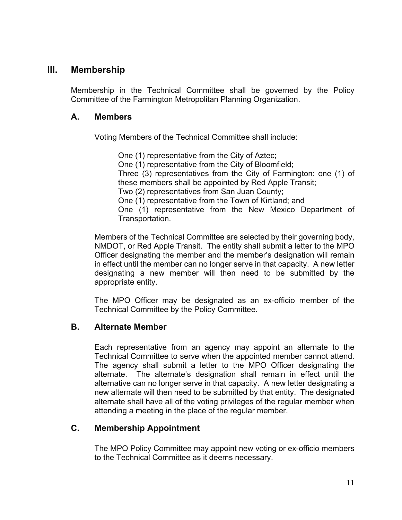#### **III. Membership**

Membership in the Technical Committee shall be governed by the Policy Committee of the Farmington Metropolitan Planning Organization.

#### **A. Members**

Voting Members of the Technical Committee shall include:

One (1) representative from the City of Aztec; One (1) representative from the City of Bloomfield; Three (3) representatives from the City of Farmington: one (1) of these members shall be appointed by Red Apple Transit; Two (2) representatives from San Juan County; One (1) representative from the Town of Kirtland; and One (1) representative from the New Mexico Department of Transportation.

Members of the Technical Committee are selected by their governing body, NMDOT, or Red Apple Transit. The entity shall submit a letter to the MPO Officer designating the member and the member's designation will remain in effect until the member can no longer serve in that capacity. A new letter designating a new member will then need to be submitted by the appropriate entity.

The MPO Officer may be designated as an ex-officio member of the Technical Committee by the Policy Committee.

#### **B. Alternate Member**

Each representative from an agency may appoint an alternate to the Technical Committee to serve when the appointed member cannot attend. The agency shall submit a letter to the MPO Officer designating the alternate. The alternate's designation shall remain in effect until the alternative can no longer serve in that capacity. A new letter designating a new alternate will then need to be submitted by that entity. The designated alternate shall have all of the voting privileges of the regular member when attending a meeting in the place of the regular member.

#### **C. Membership Appointment**

The MPO Policy Committee may appoint new voting or ex-officio members to the Technical Committee as it deems necessary.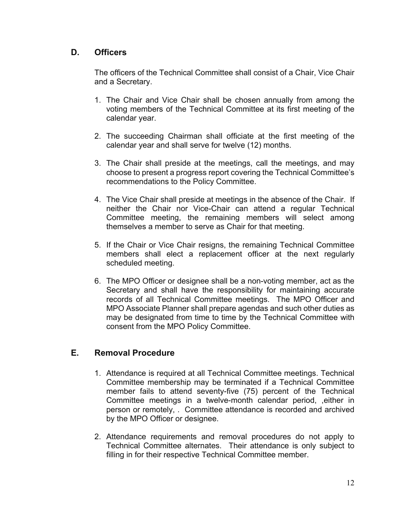#### **D. Officers**

The officers of the Technical Committee shall consist of a Chair, Vice Chair and a Secretary.

- 1. The Chair and Vice Chair shall be chosen annually from among the voting members of the Technical Committee at its first meeting of the calendar year.
- 2. The succeeding Chairman shall officiate at the first meeting of the calendar year and shall serve for twelve (12) months.
- 3. The Chair shall preside at the meetings, call the meetings, and may choose to present a progress report covering the Technical Committee's recommendations to the Policy Committee.
- 4. The Vice Chair shall preside at meetings in the absence of the Chair. If neither the Chair nor Vice-Chair can attend a regular Technical Committee meeting, the remaining members will select among themselves a member to serve as Chair for that meeting.
- 5. If the Chair or Vice Chair resigns, the remaining Technical Committee members shall elect a replacement officer at the next regularly scheduled meeting.
- 6. The MPO Officer or designee shall be a non-voting member, act as the Secretary and shall have the responsibility for maintaining accurate records of all Technical Committee meetings. The MPO Officer and MPO Associate Planner shall prepare agendas and such other duties as may be designated from time to time by the Technical Committee with consent from the MPO Policy Committee.

#### **E. Removal Procedure**

- 1. Attendance is required at all Technical Committee meetings. Technical Committee membership may be terminated if a Technical Committee member fails to attend seventy-five (75) percent of the Technical Committee meetings in a twelve-month calendar period, ,either in person or remotely, . Committee attendance is recorded and archived by the MPO Officer or designee.
- 2. Attendance requirements and removal procedures do not apply to Technical Committee alternates. Their attendance is only subject to filling in for their respective Technical Committee member.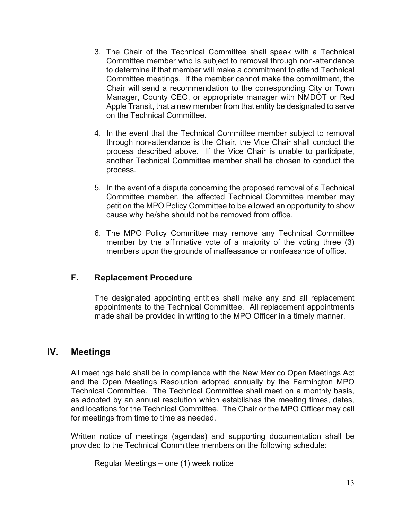- 3. The Chair of the Technical Committee shall speak with a Technical Committee member who is subject to removal through non-attendance to determine if that member will make a commitment to attend Technical Committee meetings. If the member cannot make the commitment, the Chair will send a recommendation to the corresponding City or Town Manager, County CEO, or appropriate manager with NMDOT or Red Apple Transit, that a new member from that entity be designated to serve on the Technical Committee.
- 4. In the event that the Technical Committee member subject to removal through non-attendance is the Chair, the Vice Chair shall conduct the process described above. If the Vice Chair is unable to participate, another Technical Committee member shall be chosen to conduct the process.
- 5. In the event of a dispute concerning the proposed removal of a Technical Committee member, the affected Technical Committee member may petition the MPO Policy Committee to be allowed an opportunity to show cause why he/she should not be removed from office.
- 6. The MPO Policy Committee may remove any Technical Committee member by the affirmative vote of a majority of the voting three (3) members upon the grounds of malfeasance or nonfeasance of office.

#### **F. Replacement Procedure**

The designated appointing entities shall make any and all replacement appointments to the Technical Committee. All replacement appointments made shall be provided in writing to the MPO Officer in a timely manner.

#### **IV. Meetings**

All meetings held shall be in compliance with the New Mexico Open Meetings Act and the Open Meetings Resolution adopted annually by the Farmington MPO Technical Committee. The Technical Committee shall meet on a monthly basis, as adopted by an annual resolution which establishes the meeting times, dates, and locations for the Technical Committee. The Chair or the MPO Officer may call for meetings from time to time as needed.

Written notice of meetings (agendas) and supporting documentation shall be provided to the Technical Committee members on the following schedule:

Regular Meetings – one (1) week notice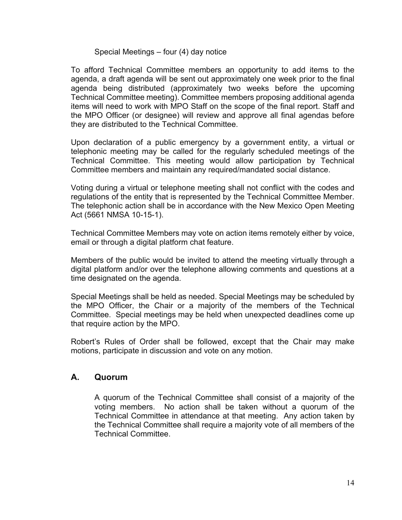#### Special Meetings – four (4) day notice

To afford Technical Committee members an opportunity to add items to the agenda, a draft agenda will be sent out approximately one week prior to the final agenda being distributed (approximately two weeks before the upcoming Technical Committee meeting). Committee members proposing additional agenda items will need to work with MPO Staff on the scope of the final report. Staff and the MPO Officer (or designee) will review and approve all final agendas before they are distributed to the Technical Committee.

Upon declaration of a public emergency by a government entity, a virtual or telephonic meeting may be called for the regularly scheduled meetings of the Technical Committee. This meeting would allow participation by Technical Committee members and maintain any required/mandated social distance.

Voting during a virtual or telephone meeting shall not conflict with the codes and regulations of the entity that is represented by the Technical Committee Member. The telephonic action shall be in accordance with the New Mexico Open Meeting Act (5661 NMSA 10-15-1).

Technical Committee Members may vote on action items remotely either by voice, email or through a digital platform chat feature.

Members of the public would be invited to attend the meeting virtually through a digital platform and/or over the telephone allowing comments and questions at a time designated on the agenda.

Special Meetings shall be held as needed. Special Meetings may be scheduled by the MPO Officer, the Chair or a majority of the members of the Technical Committee. Special meetings may be held when unexpected deadlines come up that require action by the MPO.

Robert's Rules of Order shall be followed, except that the Chair may make motions, participate in discussion and vote on any motion.

#### **A. Quorum**

A quorum of the Technical Committee shall consist of a majority of the voting members. No action shall be taken without a quorum of the Technical Committee in attendance at that meeting. Any action taken by the Technical Committee shall require a majority vote of all members of the Technical Committee.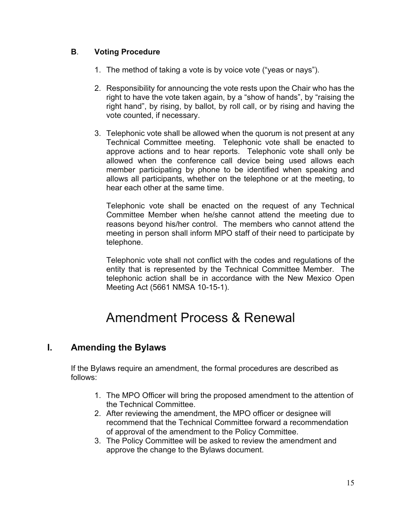#### **B**. **Voting Procedure**

- 1. The method of taking a vote is by voice vote ("yeas or nays").
- 2. Responsibility for announcing the vote rests upon the Chair who has the right to have the vote taken again, by a "show of hands", by "raising the right hand", by rising, by ballot, by roll call, or by rising and having the vote counted, if necessary.
- 3. Telephonic vote shall be allowed when the quorum is not present at any Technical Committee meeting. Telephonic vote shall be enacted to approve actions and to hear reports. Telephonic vote shall only be allowed when the conference call device being used allows each member participating by phone to be identified when speaking and allows all participants, whether on the telephone or at the meeting, to hear each other at the same time.

Telephonic vote shall be enacted on the request of any Technical Committee Member when he/she cannot attend the meeting due to reasons beyond his/her control. The members who cannot attend the meeting in person shall inform MPO staff of their need to participate by telephone.

Telephonic vote shall not conflict with the codes and regulations of the entity that is represented by the Technical Committee Member. The telephonic action shall be in accordance with the New Mexico Open Meeting Act (5661 NMSA 10-15-1).

## Amendment Process & Renewal

#### **I. Amending the Bylaws**

If the Bylaws require an amendment, the formal procedures are described as follows:

- 1. The MPO Officer will bring the proposed amendment to the attention of the Technical Committee.
- 2. After reviewing the amendment, the MPO officer or designee will recommend that the Technical Committee forward a recommendation of approval of the amendment to the Policy Committee.
- 3. The Policy Committee will be asked to review the amendment and approve the change to the Bylaws document.